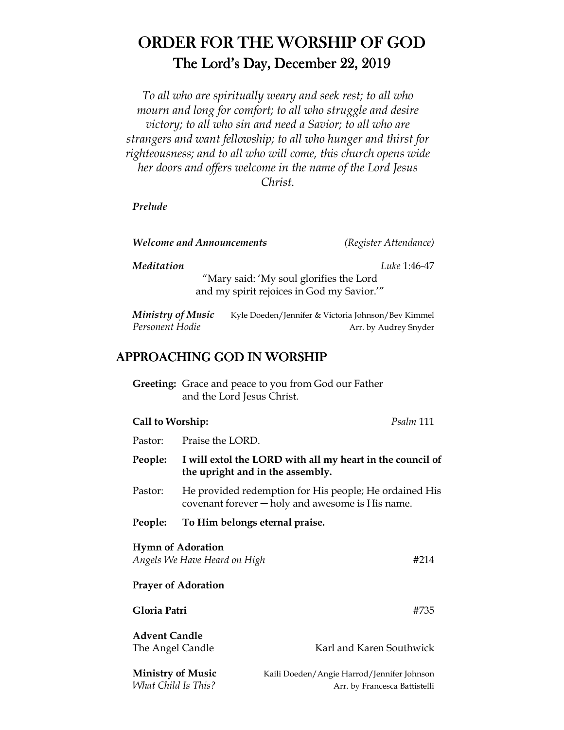# ORDER FOR THE WORSHIP OF GOD The Lord's Day, December 22, 2019

*To all who are spiritually weary and seek rest; to all who mourn and long for comfort; to all who struggle and desire victory; to all who sin and need a Savior; to all who are strangers and want fellowship; to all who hunger and thirst for righteousness; and to all who will come, this church opens wide her doors and offers welcome in the name of the Lord Jesus Christ.* 

*Prelude* 

| <b>Welcome and Announcements</b> |  |
|----------------------------------|--|
|----------------------------------|--|

*Welcome and Announcements (Register Attendance)* 

*Meditation Luke* 1:46-47

"Mary said: 'My soul glorifies the Lord and my spirit rejoices in God my Savior.'"

*Ministry of Music* Kyle Doeden/Jennifer & Victoria Johnson/Bev Kimmel *Personent Hodie* **Arr.** by Audrey Snyder

## APPROACHING GOD IN WORSHIP

|                  | <b>Greeting:</b> Grace and peace to you from God our Father<br>and the Lord Jesus Christ. |           |
|------------------|-------------------------------------------------------------------------------------------|-----------|
| Call to Worship: |                                                                                           | Psalm 111 |

| Pastor:                                                          | Praise the LORD.                                                                                             |                          |  |  |  |
|------------------------------------------------------------------|--------------------------------------------------------------------------------------------------------------|--------------------------|--|--|--|
| People:                                                          | I will extol the LORD with all my heart in the council of<br>the upright and in the assembly.                |                          |  |  |  |
| Pastor:                                                          | He provided redemption for His people; He ordained His<br>covenant forever $-$ holy and awesome is His name. |                          |  |  |  |
| People:                                                          | To Him belongs eternal praise.                                                                               |                          |  |  |  |
| <b>Hymn of Adoration</b><br>Angels We Have Heard on High<br>#214 |                                                                                                              |                          |  |  |  |
| <b>Prayer of Adoration</b>                                       |                                                                                                              |                          |  |  |  |
| Gloria Patri                                                     |                                                                                                              | #735                     |  |  |  |
| <b>Advent Candle</b><br>The Angel Candle                         |                                                                                                              | Karl and Karen Southwick |  |  |  |

**Ministry of Music Kaili Doeden/Angie Harrod/Jennifer Johnson**<br> *What Child Is This?* **Kaili Doeden/Angie Harrod/Jennifer Johnson** Arr. by Francesca Battistelli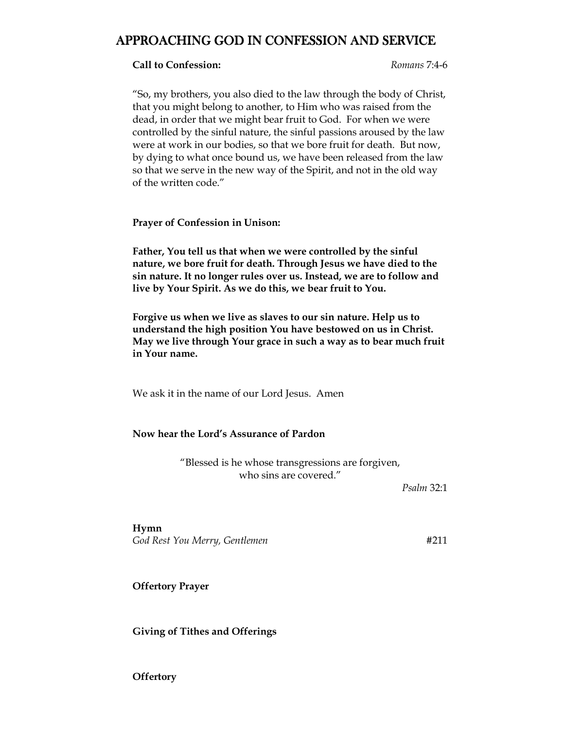## APPROACHING GOD IN CONFESSION AND SERVICE

#### **Call to Confession:** *Romans* 7:4-6

"So, my brothers, you also died to the law through the body of Christ, that you might belong to another, to Him who was raised from the dead, in order that we might bear fruit to God. For when we were controlled by the sinful nature, the sinful passions aroused by the law were at work in our bodies, so that we bore fruit for death. But now, by dying to what once bound us, we have been released from the law so that we serve in the new way of the Spirit, and not in the old way of the written code."

**Prayer of Confession in Unison:** 

**Father, You tell us that when we were controlled by the sinful nature, we bore fruit for death. Through Jesus we have died to the sin nature. It no longer rules over us. Instead, we are to follow and live by Your Spirit. As we do this, we bear fruit to You.** 

**Forgive us when we live as slaves to our sin nature. Help us to understand the high position You have bestowed on us in Christ. May we live through Your grace in such a way as to bear much fruit in Your name.** 

We ask it in the name of our Lord Jesus. Amen

#### **Now hear the Lord's Assurance of Pardon**

"Blessed is he whose transgressions are forgiven, who sins are covered."

*Psalm* 32:1

**Hymn**  *God Rest You Merry, Gentlemen* #211

**Offertory Prayer** 

**Giving of Tithes and Offerings** 

**Offertory**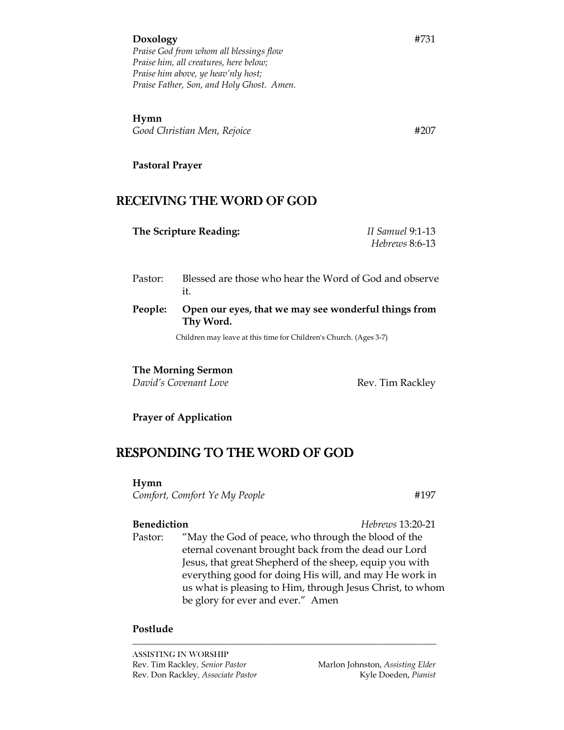**Hymn**  *Good Christian Men, Rejoice* #207

**Pastoral Prayer** 

## RECEIVING THE WORD OF GOD

| The Scripture Reading: | II Samuel 9:1-13 |
|------------------------|------------------|
|                        | Hebrews 8:6-13   |

- Pastor: Blessed are those who hear the Word of God and observe it.
- **People: Open our eyes, that we may see wonderful things from Thy Word.**

Children may leave at this time for Children's Church. (Ages 3-7)

#### **The Morning Sermon**

*David's Covenant Love* **Rev. Tim Rackley** 

### **Prayer of Application**

## RESPONDING TO THE WORD OF GOD

**Hymn**

*Comfort, Comfort Ye My People* #197

**Benediction** *Hebrews* 13:20-21

 Pastor: "May the God of peace, who through the blood of the eternal covenant brought back from the dead our Lord Jesus, that great Shepherd of the sheep, equip you with everything good for doing His will, and may He work in us what is pleasing to Him, through Jesus Christ, to whom be glory for ever and ever." Amen

*\_\_\_\_\_\_\_\_\_\_\_\_\_\_\_\_\_\_\_\_\_\_\_\_\_\_\_\_\_\_\_\_\_\_\_\_\_\_\_\_\_\_\_\_\_\_\_\_\_\_\_\_\_\_\_\_\_\_\_\_\_\_\_\_\_\_*

#### **Postlude**

ASSISTING IN WORSHIP Rev. Tim Rackley, Senior Pastor **Marlon Johnston**, *Assisting Elder Marlon Johnston, Assisting Elder* Rev. Don Rackley, *Associate Pastor* **Kyle Doeden**, *Pianist* **Kyle Doeden**, *Pianist*